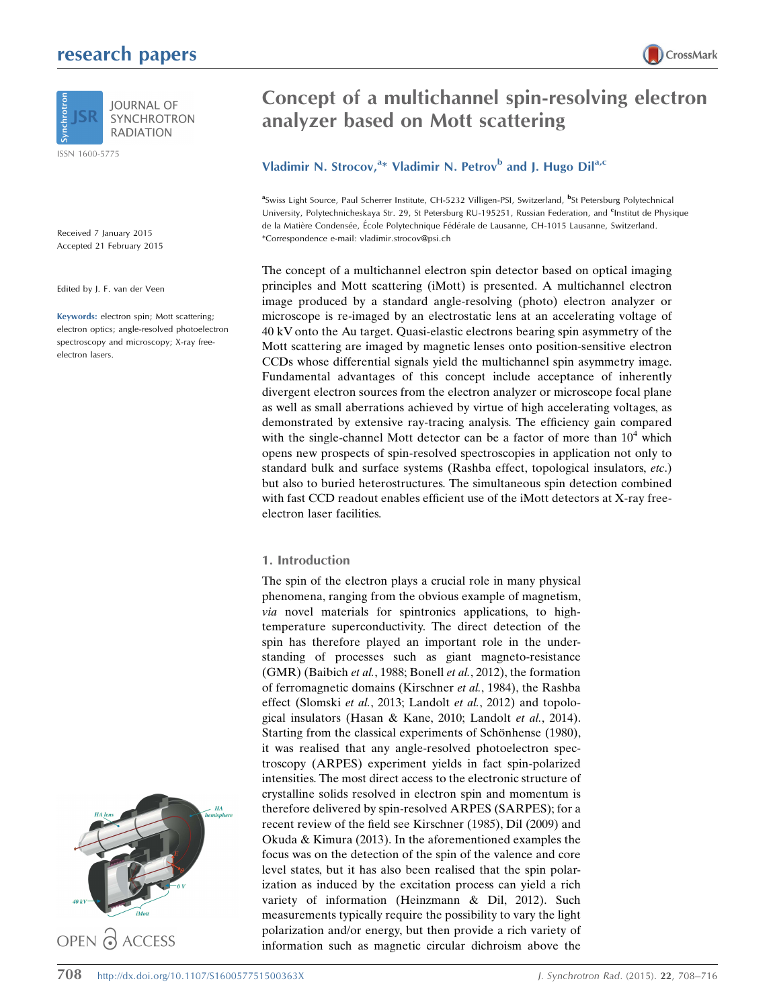# research papers



ISSN 1600-5775

Received 7 January 2015 Accepted 21 February 2015

Edited by J. F. van der Veen

Keywords: electron spin; Mott scattering; electron optics; angle-resolved photoelectron spectroscopy and microscopy; X-ray freeelectron lasers.





# Concept of a multichannel spin-resolving electron analyzer based on Mott scattering

## Vladimir N. Strocov,<sup>a\*</sup> Vladimir N. Petrov<sup>b</sup> and J. Hugo Dil<sup>a,c</sup>

<sup>a</sup>Swiss Light Source, Paul Scherrer Institute, CH-5232 Villigen-PSI, Switzerland, <sup>b</sup>St Petersburg Polytechnical University, Polytechnicheskaya Str. 29, St Petersburg RU-195251, Russian Federation, and <sup>c</sup>Institut de Physique de la Matière Condensée, École Polytechnique Fédérale de Lausanne, CH-1015 Lausanne, Switzerland. \*Correspondence e-mail: vladimir.strocov@psi.ch

The concept of a multichannel electron spin detector based on optical imaging principles and Mott scattering (iMott) is presented. A multichannel electron image produced by a standard angle-resolving (photo) electron analyzer or microscope is re-imaged by an electrostatic lens at an accelerating voltage of 40 kV onto the Au target. Quasi-elastic electrons bearing spin asymmetry of the Mott scattering are imaged by magnetic lenses onto position-sensitive electron CCDs whose differential signals yield the multichannel spin asymmetry image. Fundamental advantages of this concept include acceptance of inherently divergent electron sources from the electron analyzer or microscope focal plane as well as small aberrations achieved by virtue of high accelerating voltages, as demonstrated by extensive ray-tracing analysis. The efficiency gain compared with the single-channel Mott detector can be a factor of more than  $10<sup>4</sup>$  which opens new prospects of spin-resolved spectroscopies in application not only to standard bulk and surface systems (Rashba effect, topological insulators, etc.) but also to buried heterostructures. The simultaneous spin detection combined with fast CCD readout enables efficient use of the iMott detectors at X-ray freeelectron laser facilities.

### 1. Introduction

The spin of the electron plays a crucial role in many physical phenomena, ranging from the obvious example of magnetism, via novel materials for spintronics applications, to hightemperature superconductivity. The direct detection of the spin has therefore played an important role in the understanding of processes such as giant magneto-resistance (GMR) (Baibich et al., 1988; Bonell et al., 2012), the formation of ferromagnetic domains (Kirschner et al., 1984), the Rashba effect (Slomski et al., 2013; Landolt et al., 2012) and topological insulators (Hasan & Kane, 2010; Landolt et al., 2014). Starting from the classical experiments of Schönhense (1980), it was realised that any angle-resolved photoelectron spectroscopy (ARPES) experiment yields in fact spin-polarized intensities. The most direct access to the electronic structure of crystalline solids resolved in electron spin and momentum is therefore delivered by spin-resolved ARPES (SARPES); for a recent review of the field see Kirschner (1985), Dil (2009) and Okuda & Kimura (2013). In the aforementioned examples the focus was on the detection of the spin of the valence and core level states, but it has also been realised that the spin polarization as induced by the excitation process can yield a rich variety of information (Heinzmann & Dil, 2012). Such measurements typically require the possibility to vary the light polarization and/or energy, but then provide a rich variety of information such as magnetic circular dichroism above the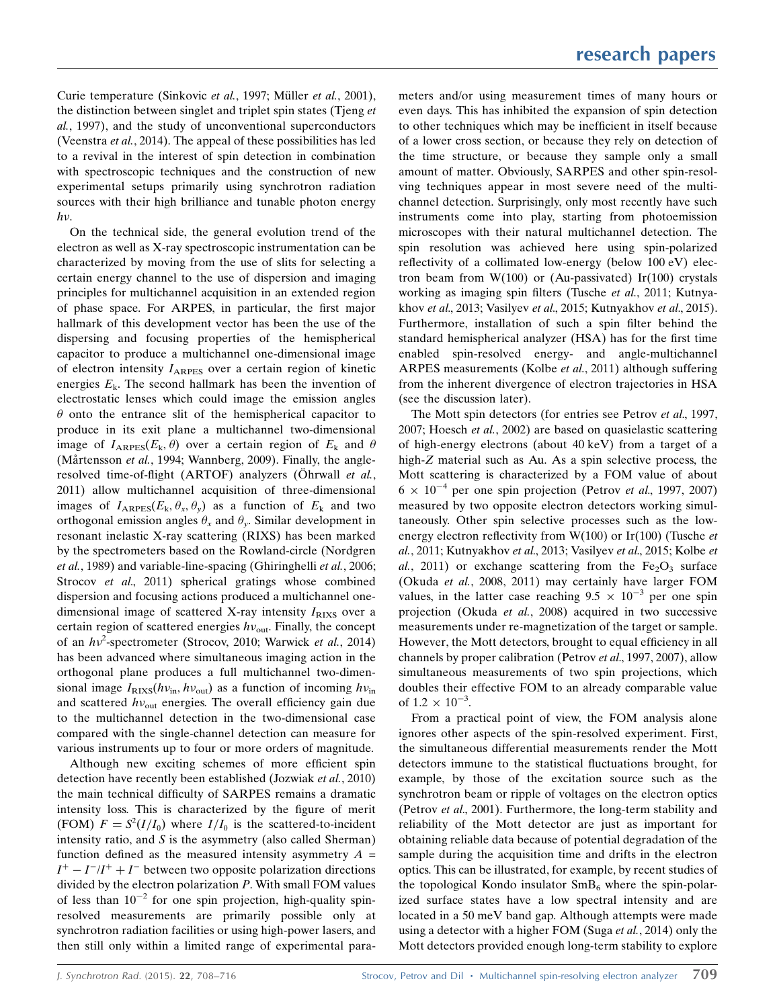Curie temperature (Sinkovic et al., 1997; Müller et al., 2001), the distinction between singlet and triplet spin states (Tieng et al., 1997), and the study of unconventional superconductors (Veenstra et al., 2014). The appeal of these possibilities has led to a revival in the interest of spin detection in combination with spectroscopic techniques and the construction of new experimental setups primarily using synchrotron radiation sources with their high brilliance and tunable photon energy  $h\nu$ .

On the technical side, the general evolution trend of the electron as well as X-ray spectroscopic instrumentation can be characterized by moving from the use of slits for selecting a certain energy channel to the use of dispersion and imaging principles for multichannel acquisition in an extended region of phase space. For ARPES, in particular, the first major hallmark of this development vector has been the use of the dispersing and focusing properties of the hemispherical capacitor to produce a multichannel one-dimensional image of electron intensity  $I_{ARPES}$  over a certain region of kinetic energies  $E_k$ . The second hallmark has been the invention of electrostatic lenses which could image the emission angles  $\theta$  onto the entrance slit of the hemispherical capacitor to produce in its exit plane a multichannel two-dimensional image of  $I_{ARPES}(E_k, \theta)$  over a certain region of  $E_k$  and  $\theta$ (Mårtensson et al., 1994; Wannberg, 2009). Finally, the angleresolved time-of-flight (ARTOF) analyzers (Öhrwall et al., 2011) allow multichannel acquisition of three-dimensional images of  $I_{ARPES}(E_k, \theta_x, \theta_y)$  as a function of  $E_k$  and two orthogonal emission angles  $\theta_x$  and  $\theta_y$ . Similar development in resonant inelastic X-ray scattering (RIXS) has been marked by the spectrometers based on the Rowland-circle (Nordgren et al., 1989) and variable-line-spacing (Ghiringhelli et al., 2006; Strocov et al., 2011) spherical gratings whose combined dispersion and focusing actions produced a multichannel onedimensional image of scattered X-ray intensity  $I_{\rm RIXS}$  over a certain region of scattered energies  $hv_{\text{out}}$ . Finally, the concept of an  $hv^2$ -spectrometer (Strocov, 2010; Warwick et al., 2014) has been advanced where simultaneous imaging action in the orthogonal plane produces a full multichannel two-dimensional image  $I_{\text{RIXS}}(hv_{\text{in}}, hv_{\text{out}})$  as a function of incoming  $hv_{\text{in}}$ and scattered  $hv_{\text{out}}$  energies. The overall efficiency gain due to the multichannel detection in the two-dimensional case compared with the single-channel detection can measure for various instruments up to four or more orders of magnitude.

Although new exciting schemes of more efficient spin detection have recently been established (Jozwiak et al., 2010) the main technical difficulty of SARPES remains a dramatic intensity loss. This is characterized by the figure of merit (FOM)  $F = S^2(I/I_0)$  where  $I/I_0$  is the scattered-to-incident intensity ratio, and  $S$  is the asymmetry (also called Sherman) function defined as the measured intensity asymmetry  $A =$  $I^+ - I^- / I^+ + I^-$  between two opposite polarization directions divided by the electron polarization  $P$ . With small FOM values of less than  $10^{-2}$  for one spin projection, high-quality spinresolved measurements are primarily possible only at synchrotron radiation facilities or using high-power lasers, and then still only within a limited range of experimental parameters and/or using measurement times of many hours or even days. This has inhibited the expansion of spin detection to other techniques which may be inefficient in itself because of a lower cross section, or because they rely on detection of the time structure, or because they sample only a small amount of matter. Obviously, SARPES and other spin-resolving techniques appear in most severe need of the multichannel detection. Surprisingly, only most recently have such instruments come into play, starting from photoemission microscopes with their natural multichannel detection. The spin resolution was achieved here using spin-polarized reflectivity of a collimated low-energy (below 100 eV) electron beam from  $W(100)$  or (Au-passivated) Ir(100) crystals working as imaging spin filters (Tusche et al., 2011; Kutnyakhov et al., 2013; Vasilyev et al., 2015; Kutnyakhov et al., 2015). Furthermore, installation of such a spin filter behind the standard hemispherical analyzer (HSA) has for the first time enabled spin-resolved energy- and angle-multichannel ARPES measurements (Kolbe et al., 2011) although suffering from the inherent divergence of electron trajectories in HSA (see the discussion later).

The Mott spin detectors (for entries see Petrov et al., 1997, 2007; Hoesch et al., 2002) are based on quasielastic scattering of high-energy electrons (about 40 keV) from a target of a high-Z material such as Au. As a spin selective process, the Mott scattering is characterized by a FOM value of about  $6 \times 10^{-4}$  per one spin projection (Petrov et al., 1997, 2007) measured by two opposite electron detectors working simultaneously. Other spin selective processes such as the lowenergy electron reflectivity from  $W(100)$  or Ir(100) (Tusche et al., 2011; Kutnyakhov et al., 2013; Vasilyev et al., 2015; Kolbe et al., 2011) or exchange scattering from the  $Fe<sub>2</sub>O<sub>3</sub>$  surface (Okuda et al., 2008, 2011) may certainly have larger FOM values, in the latter case reaching  $9.5 \times 10^{-3}$  per one spin projection (Okuda et al., 2008) acquired in two successive measurements under re-magnetization of the target or sample. However, the Mott detectors, brought to equal efficiency in all channels by proper calibration (Petrov et al., 1997, 2007), allow simultaneous measurements of two spin projections, which doubles their effective FOM to an already comparable value of  $1.2 \times 10^{-3}$ .

From a practical point of view, the FOM analysis alone ignores other aspects of the spin-resolved experiment. First, the simultaneous differential measurements render the Mott detectors immune to the statistical fluctuations brought, for example, by those of the excitation source such as the synchrotron beam or ripple of voltages on the electron optics (Petrov et al., 2001). Furthermore, the long-term stability and reliability of the Mott detector are just as important for obtaining reliable data because of potential degradation of the sample during the acquisition time and drifts in the electron optics. This can be illustrated, for example, by recent studies of the topological Kondo insulator  $SmB_6$  where the spin-polarized surface states have a low spectral intensity and are located in a 50 meV band gap. Although attempts were made using a detector with a higher FOM (Suga *et al.*, 2014) only the Mott detectors provided enough long-term stability to explore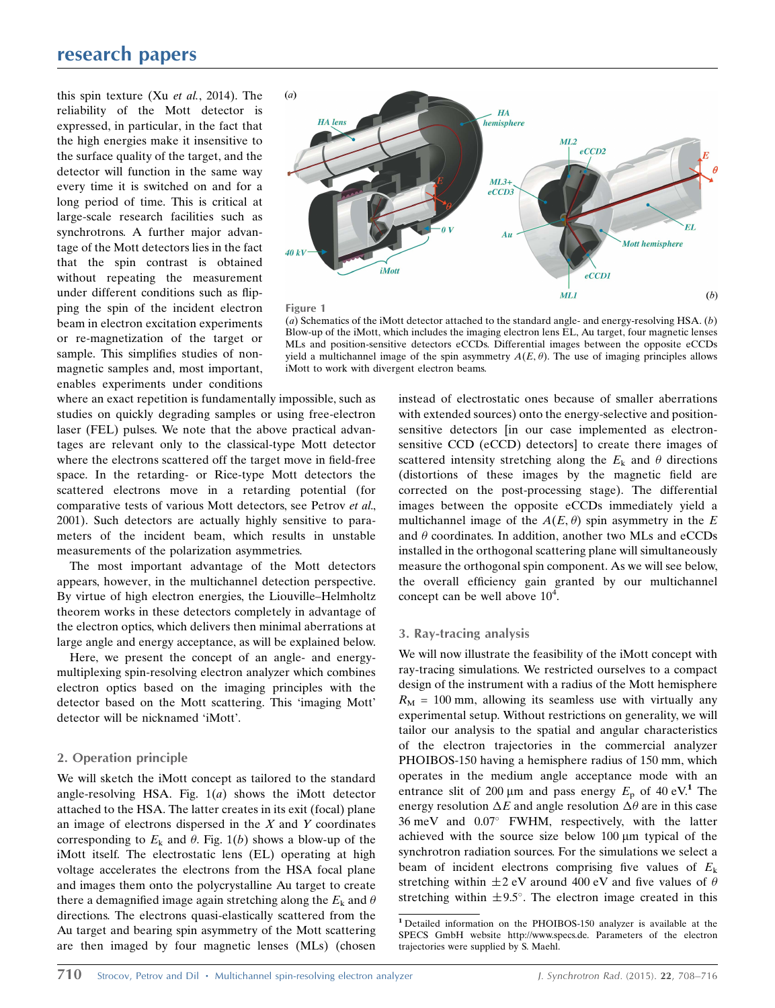# research papers

this spin texture (Xu et al., 2014). The reliability of the Mott detector is expressed, in particular, in the fact that the high energies make it insensitive to the surface quality of the target, and the detector will function in the same way every time it is switched on and for a long period of time. This is critical at large-scale research facilities such as synchrotrons. A further major advantage of the Mott detectors lies in the fact that the spin contrast is obtained without repeating the measurement under different conditions such as flipping the spin of the incident electron beam in electron excitation experiments or re-magnetization of the target or sample. This simplifies studies of nonmagnetic samples and, most important, enables experiments under conditions



Figure 1

(a) Schematics of the iMott detector attached to the standard angle- and energy-resolving HSA.  $(b)$ Blow-up of the iMott, which includes the imaging electron lens EL, Au target, four magnetic lenses MLs and position-sensitive detectors eCCDs. Differential images between the opposite eCCDs yield a multichannel image of the spin asymmetry  $A(E, \theta)$ . The use of imaging principles allows iMott to work with divergent electron beams.

where an exact repetition is fundamentally impossible, such as studies on quickly degrading samples or using free-electron laser (FEL) pulses. We note that the above practical advantages are relevant only to the classical-type Mott detector where the electrons scattered off the target move in field-free space. In the retarding- or Rice-type Mott detectors the scattered electrons move in a retarding potential (for comparative tests of various Mott detectors, see Petrov et al., 2001). Such detectors are actually highly sensitive to parameters of the incident beam, which results in unstable measurements of the polarization asymmetries.

The most important advantage of the Mott detectors appears, however, in the multichannel detection perspective. By virtue of high electron energies, the Liouville–Helmholtz theorem works in these detectors completely in advantage of the electron optics, which delivers then minimal aberrations at large angle and energy acceptance, as will be explained below.

Here, we present the concept of an angle- and energymultiplexing spin-resolving electron analyzer which combines electron optics based on the imaging principles with the detector based on the Mott scattering. This 'imaging Mott' detector will be nicknamed 'iMott'.

### 2. Operation principle

We will sketch the iMott concept as tailored to the standard angle-resolving HSA. Fig.  $1(a)$  shows the iMott detector attached to the HSA. The latter creates in its exit (focal) plane an image of electrons dispersed in the  $X$  and  $Y$  coordinates corresponding to  $E_k$  and  $\theta$ . Fig. 1(b) shows a blow-up of the iMott itself. The electrostatic lens (EL) operating at high voltage accelerates the electrons from the HSA focal plane and images them onto the polycrystalline Au target to create there a demagnified image again stretching along the  $E_k$  and  $\theta$ directions. The electrons quasi-elastically scattered from the Au target and bearing spin asymmetry of the Mott scattering are then imaged by four magnetic lenses (MLs) (chosen instead of electrostatic ones because of smaller aberrations with extended sources) onto the energy-selective and positionsensitive detectors [in our case implemented as electronsensitive CCD (eCCD) detectors] to create there images of scattered intensity stretching along the  $E_k$  and  $\theta$  directions (distortions of these images by the magnetic field are corrected on the post-processing stage). The differential images between the opposite eCCDs immediately yield a multichannel image of the  $A(E, \theta)$  spin asymmetry in the E and  $\theta$  coordinates. In addition, another two MLs and eCCDs installed in the orthogonal scattering plane will simultaneously measure the orthogonal spin component. As we will see below, the overall efficiency gain granted by our multichannel concept can be well above  $10^4$ .

### 3. Ray-tracing analysis

We will now illustrate the feasibility of the iMott concept with ray-tracing simulations. We restricted ourselves to a compact design of the instrument with a radius of the Mott hemisphere  $R_M = 100$  mm, allowing its seamless use with virtually any experimental setup. Without restrictions on generality, we will tailor our analysis to the spatial and angular characteristics of the electron trajectories in the commercial analyzer PHOIBOS-150 having a hemisphere radius of 150 mm, which operates in the medium angle acceptance mode with an entrance slit of 200  $\mu$ m and pass energy  $E_p$  of 40 eV.<sup>1</sup> The energy resolution  $\Delta E$  and angle resolution  $\Delta \theta$  are in this case  $36 \text{ meV}$  and  $0.07^{\circ}$  FWHM, respectively, with the latter achieved with the source size below  $100 \mu m$  typical of the synchrotron radiation sources. For the simulations we select a beam of incident electrons comprising five values of  $E_k$ stretching within  $\pm 2$  eV around 400 eV and five values of  $\theta$ stretching within  $\pm 9.5^{\circ}$ . The electron image created in this

<sup>1</sup> Detailed information on the PHOIBOS-150 analyzer is available at the SPECS GmbH website http://www.specs.de. Parameters of the electron trajectories were supplied by S. Maehl.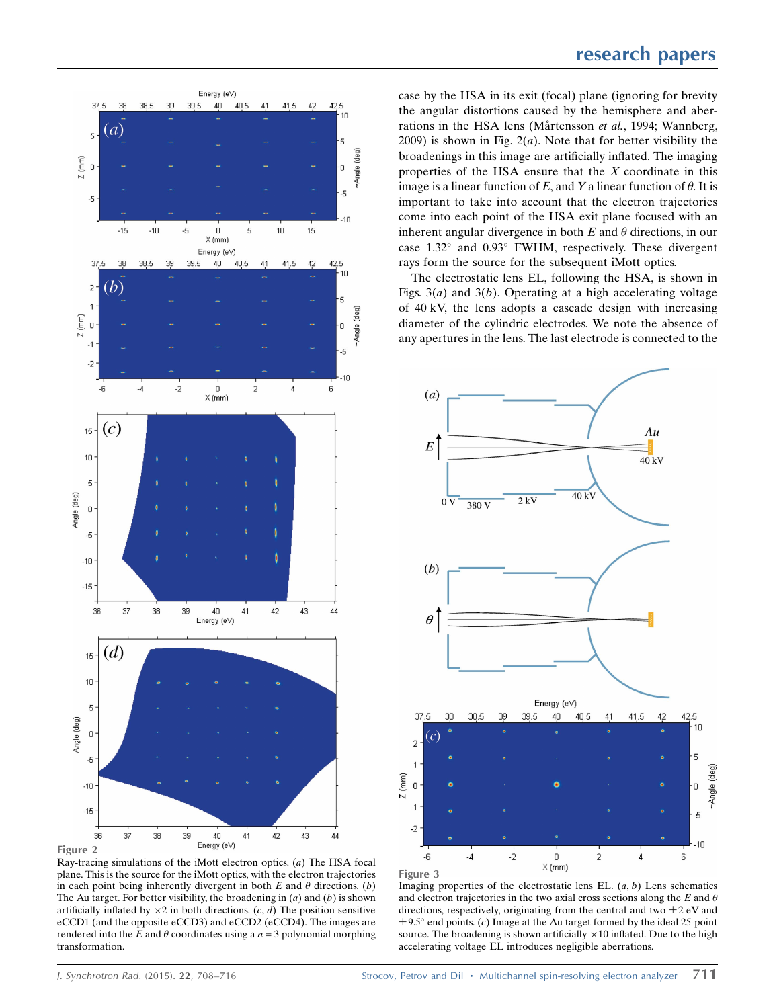

Ray-tracing simulations of the iMott electron optics. (a) The HSA focal plane. This is the source for the iMott optics, with the electron trajectories in each point being inherently divergent in both  $E$  and  $\theta$  directions. (b) The Au target. For better visibility, the broadening in  $(a)$  and  $(b)$  is shown artificially inflated by  $\times 2$  in both directions. (c, d) The position-sensitive eCCD1 (and the opposite eCCD3) and eCCD2 (eCCD4). The images are rendered into the E and  $\theta$  coordinates using a  $n = 3$  polynomial morphing transformation.

case by the HSA in its exit (focal) plane (ignoring for brevity the angular distortions caused by the hemisphere and aberrations in the HSA lens (Mårtensson et al., 1994; Wannberg, 2009) is shown in Fig.  $2(a)$ . Note that for better visibility the broadenings in this image are artificially inflated. The imaging properties of the HSA ensure that the  $X$  coordinate in this image is a linear function of E, and Y a linear function of  $\theta$ . It is important to take into account that the electron trajectories come into each point of the HSA exit plane focused with an inherent angular divergence in both  $E$  and  $\theta$  directions, in our case  $1.32^{\circ}$  and  $0.93^{\circ}$  FWHM, respectively. These divergent rays form the source for the subsequent iMott optics.

The electrostatic lens EL, following the HSA, is shown in Figs.  $3(a)$  and  $3(b)$ . Operating at a high accelerating voltage of 40 kV, the lens adopts a cascade design with increasing diameter of the cylindric electrodes. We note the absence of any apertures in the lens. The last electrode is connected to the



Imaging properties of the electrostatic lens EL.  $(a, b)$  Lens schematics and electron trajectories in the two axial cross sections along the  $E$  and  $\theta$ directions, respectively, originating from the central and two  $\pm 2$  eV and  $\pm$  9.5° end points. (c) Image at the Au target formed by the ideal 25-point source. The broadening is shown artificially  $\times 10$  inflated. Due to the high accelerating voltage EL introduces negligible aberrations.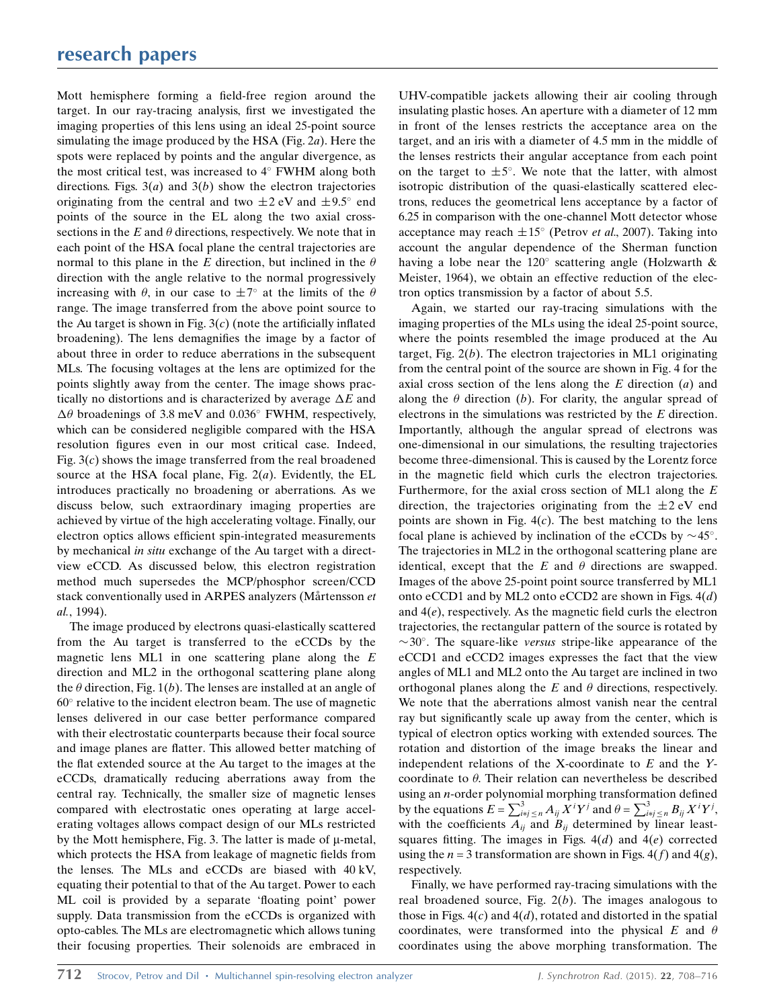Mott hemisphere forming a field-free region around the target. In our ray-tracing analysis, first we investigated the imaging properties of this lens using an ideal 25-point source simulating the image produced by the HSA (Fig. 2a). Here the spots were replaced by points and the angular divergence, as the most critical test, was increased to  $4^\circ$  FWHM along both directions. Figs.  $3(a)$  and  $3(b)$  show the electron trajectories originating from the central and two  $\pm 2$  eV and  $\pm 9.5^{\circ}$  end points of the source in the EL along the two axial crosssections in the  $E$  and  $\theta$  directions, respectively. We note that in each point of the HSA focal plane the central trajectories are normal to this plane in the E direction, but inclined in the  $\theta$ direction with the angle relative to the normal progressively increasing with  $\theta$ , in our case to  $\pm 7^{\circ}$  at the limits of the  $\theta$ range. The image transferred from the above point source to the Au target is shown in Fig.  $3(c)$  (note the artificially inflated broadening). The lens demagnifies the image by a factor of about three in order to reduce aberrations in the subsequent MLs. The focusing voltages at the lens are optimized for the points slightly away from the center. The image shows practically no distortions and is characterized by average  $\Delta E$  and  $\Delta\theta$  broadenings of 3.8 meV and 0.036° FWHM, respectively, which can be considered negligible compared with the HSA resolution figures even in our most critical case. Indeed, Fig.  $3(c)$  shows the image transferred from the real broadened source at the HSA focal plane, Fig.  $2(a)$ . Evidently, the EL introduces practically no broadening or aberrations. As we discuss below, such extraordinary imaging properties are achieved by virtue of the high accelerating voltage. Finally, our electron optics allows efficient spin-integrated measurements by mechanical in situ exchange of the Au target with a directview eCCD. As discussed below, this electron registration method much supersedes the MCP/phosphor screen/CCD stack conventionally used in ARPES analyzers (Mårtensson et al., 1994).

The image produced by electrons quasi-elastically scattered from the Au target is transferred to the eCCDs by the magnetic lens ML1 in one scattering plane along the  $E$ direction and ML2 in the orthogonal scattering plane along the  $\theta$  direction, Fig. 1(b). The lenses are installed at an angle of  $60^\circ$  relative to the incident electron beam. The use of magnetic lenses delivered in our case better performance compared with their electrostatic counterparts because their focal source and image planes are flatter. This allowed better matching of the flat extended source at the Au target to the images at the eCCDs, dramatically reducing aberrations away from the central ray. Technically, the smaller size of magnetic lenses compared with electrostatic ones operating at large accelerating voltages allows compact design of our MLs restricted by the Mott hemisphere, Fig. 3. The latter is made of  $\mu$ -metal, which protects the HSA from leakage of magnetic fields from the lenses. The MLs and eCCDs are biased with 40 kV, equating their potential to that of the Au target. Power to each ML coil is provided by a separate 'floating point' power supply. Data transmission from the eCCDs is organized with opto-cables. The MLs are electromagnetic which allows tuning their focusing properties. Their solenoids are embraced in UHV-compatible jackets allowing their air cooling through insulating plastic hoses. An aperture with a diameter of 12 mm in front of the lenses restricts the acceptance area on the target, and an iris with a diameter of 4.5 mm in the middle of the lenses restricts their angular acceptance from each point on the target to  $\pm 5^{\circ}$ . We note that the latter, with almost isotropic distribution of the quasi-elastically scattered electrons, reduces the geometrical lens acceptance by a factor of 6.25 in comparison with the one-channel Mott detector whose acceptance may reach  $\pm 15^{\circ}$  (Petrov *et al.*, 2007). Taking into account the angular dependence of the Sherman function having a lobe near the 120 $^{\circ}$  scattering angle (Holzwarth & Meister, 1964), we obtain an effective reduction of the electron optics transmission by a factor of about 5.5.

Again, we started our ray-tracing simulations with the imaging properties of the MLs using the ideal 25-point source, where the points resembled the image produced at the Au target, Fig.  $2(b)$ . The electron trajectories in ML1 originating from the central point of the source are shown in Fig. 4 for the axial cross section of the lens along the  $E$  direction  $(a)$  and along the  $\theta$  direction (b). For clarity, the angular spread of electrons in the simulations was restricted by the E direction. Importantly, although the angular spread of electrons was one-dimensional in our simulations, the resulting trajectories become three-dimensional. This is caused by the Lorentz force in the magnetic field which curls the electron trajectories. Furthermore, for the axial cross section of ML1 along the  $E$ direction, the trajectories originating from the  $\pm 2$  eV end points are shown in Fig.  $4(c)$ . The best matching to the lens focal plane is achieved by inclination of the eCCDs by  $\sim$  45°. The trajectories in ML2 in the orthogonal scattering plane are identical, except that the  $E$  and  $\theta$  directions are swapped. Images of the above 25-point point source transferred by ML1 onto eCCD1 and by ML2 onto eCCD2 are shown in Figs.  $4(d)$ and  $4(e)$ , respectively. As the magnetic field curls the electron trajectories, the rectangular pattern of the source is rotated by  $\sim$ 30°. The square-like versus stripe-like appearance of the eCCD1 and eCCD2 images expresses the fact that the view angles of ML1 and ML2 onto the Au target are inclined in two orthogonal planes along the  $E$  and  $\theta$  directions, respectively. We note that the aberrations almost vanish near the central ray but significantly scale up away from the center, which is typical of electron optics working with extended sources. The rotation and distortion of the image breaks the linear and independent relations of the X-coordinate to  $E$  and the Ycoordinate to  $\theta$ . Their relation can nevertheless be described using an n-order polynomial morphing transformation defined by the equations  $E = \sum_{i=j}^{3} A_{ij} X^{i} Y^{j}$  and  $\theta = \sum_{i=j}^{3} E_{ij} X^{i} Y^{j}$ , with the coefficients  $A_{ij}$  and  $B_{ij}$  determined by linear leastsquares fitting. The images in Figs.  $4(d)$  and  $4(e)$  corrected using the  $n = 3$  transformation are shown in Figs. 4(f) and 4(g), respectively.

Finally, we have performed ray-tracing simulations with the real broadened source, Fig.  $2(b)$ . The images analogous to those in Figs.  $4(c)$  and  $4(d)$ , rotated and distorted in the spatial coordinates, were transformed into the physical E and  $\theta$ coordinates using the above morphing transformation. The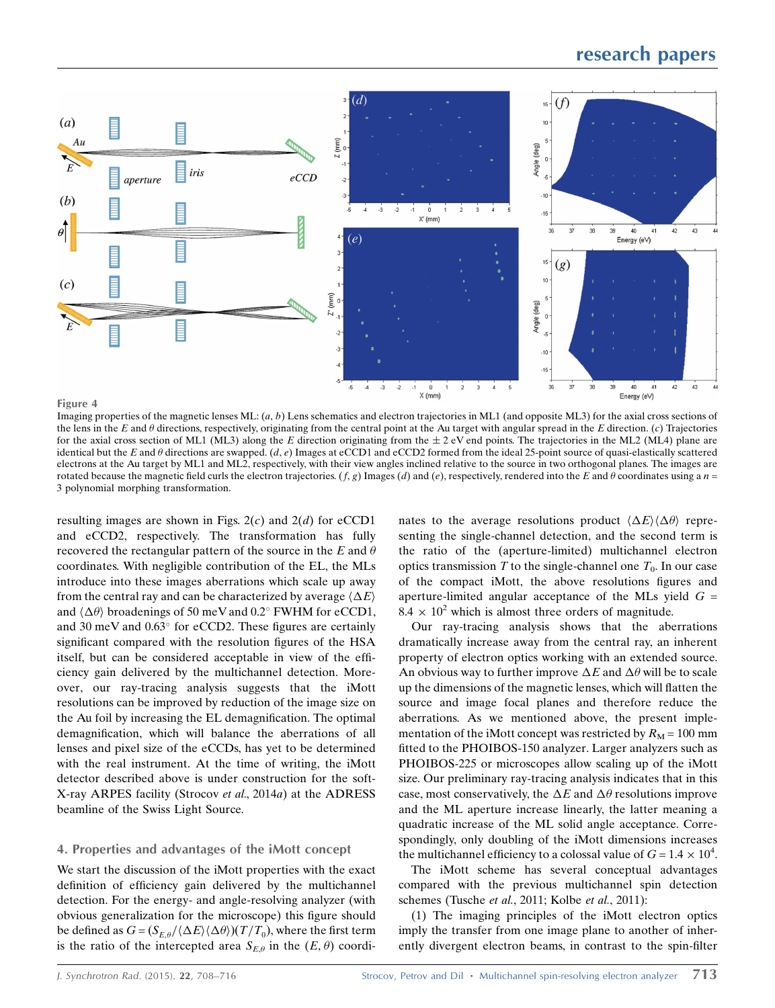# research papers



#### Figure 4

Imaging properties of the magnetic lenses ML:  $(a, b)$  Lens schematics and electron trajectories in ML1 (and opposite ML3) for the axial cross sections of the lens in the E and  $\theta$  directions, respectively, originating from the central point at the Au target with angular spread in the E direction. (c) Trajectories for the axial cross section of ML1 (ML3) along the E direction originating from the  $\pm$  2 eV end points. The trajectories in the ML2 (ML4) plane are identical but the E and  $\theta$  directions are swapped. (d, e) Images at eCCD1 and eCCD2 formed from the ideal 25-point source of quasi-elastically scattered electrons at the Au target by ML1 and ML2, respectively, with their view angles inclined relative to the source in two orthogonal planes. The images are rotated because the magnetic field curls the electron trajectories.  $(f, g)$  Images (d) and (e), respectively, rendered into the E and  $\theta$  coordinates using a  $n =$ 3 polynomial morphing transformation.

resulting images are shown in Figs.  $2(c)$  and  $2(d)$  for eCCD1 and eCCD2, respectively. The transformation has fully recovered the rectangular pattern of the source in the E and  $\theta$ coordinates. With negligible contribution of the EL, the MLs introduce into these images aberrations which scale up away from the central ray and can be characterized by average  $\langle \Delta E \rangle$ and  $\langle \Delta \theta \rangle$  broadenings of 50 meV and 0.2° FWHM for eCCD1, and 30 meV and  $0.63^{\circ}$  for eCCD2. These figures are certainly significant compared with the resolution figures of the HSA itself, but can be considered acceptable in view of the efficiency gain delivered by the multichannel detection. Moreover, our ray-tracing analysis suggests that the iMott resolutions can be improved by reduction of the image size on the Au foil by increasing the EL demagnification. The optimal demagnification, which will balance the aberrations of all lenses and pixel size of the eCCDs, has yet to be determined with the real instrument. At the time of writing, the iMott detector described above is under construction for the soft-X-ray ARPES facility (Strocov et al., 2014a) at the ADRESS beamline of the Swiss Light Source.

#### 4. Properties and advantages of the iMott concept

We start the discussion of the iMott properties with the exact definition of efficiency gain delivered by the multichannel detection. For the energy- and angle-resolving analyzer (with obvious generalization for the microscope) this figure should be defined as  $G = (S_{E,\theta}/\langle \Delta E \rangle \langle \Delta \theta \rangle)(T/T_0)$ , where the first term is the ratio of the intercepted area  $S_{E,\theta}$  in the  $(E, \theta)$  coordi-

nates to the average resolutions product  $\langle \Delta E \rangle \langle \Delta \theta \rangle$  representing the single-channel detection, and the second term is the ratio of the (aperture-limited) multichannel electron optics transmission T to the single-channel one  $T_0$ . In our case of the compact iMott, the above resolutions figures and aperture-limited angular acceptance of the MLs yield  $G =$  $8.4 \times 10^2$  which is almost three orders of magnitude.

Our ray-tracing analysis shows that the aberrations dramatically increase away from the central ray, an inherent property of electron optics working with an extended source. An obvious way to further improve  $\Delta E$  and  $\Delta \theta$  will be to scale up the dimensions of the magnetic lenses, which will flatten the source and image focal planes and therefore reduce the aberrations. As we mentioned above, the present implementation of the iMott concept was restricted by  $R_M = 100$  mm fitted to the PHOIBOS-150 analyzer. Larger analyzers such as PHOIBOS-225 or microscopes allow scaling up of the iMott size. Our preliminary ray-tracing analysis indicates that in this case, most conservatively, the  $\Delta E$  and  $\Delta \theta$  resolutions improve and the ML aperture increase linearly, the latter meaning a quadratic increase of the ML solid angle acceptance. Correspondingly, only doubling of the iMott dimensions increases the multichannel efficiency to a colossal value of  $G = 1.4 \times 10^4$ .

The iMott scheme has several conceptual advantages compared with the previous multichannel spin detection schemes (Tusche et al., 2011; Kolbe et al., 2011):

(1) The imaging principles of the iMott electron optics imply the transfer from one image plane to another of inherently divergent electron beams, in contrast to the spin-filter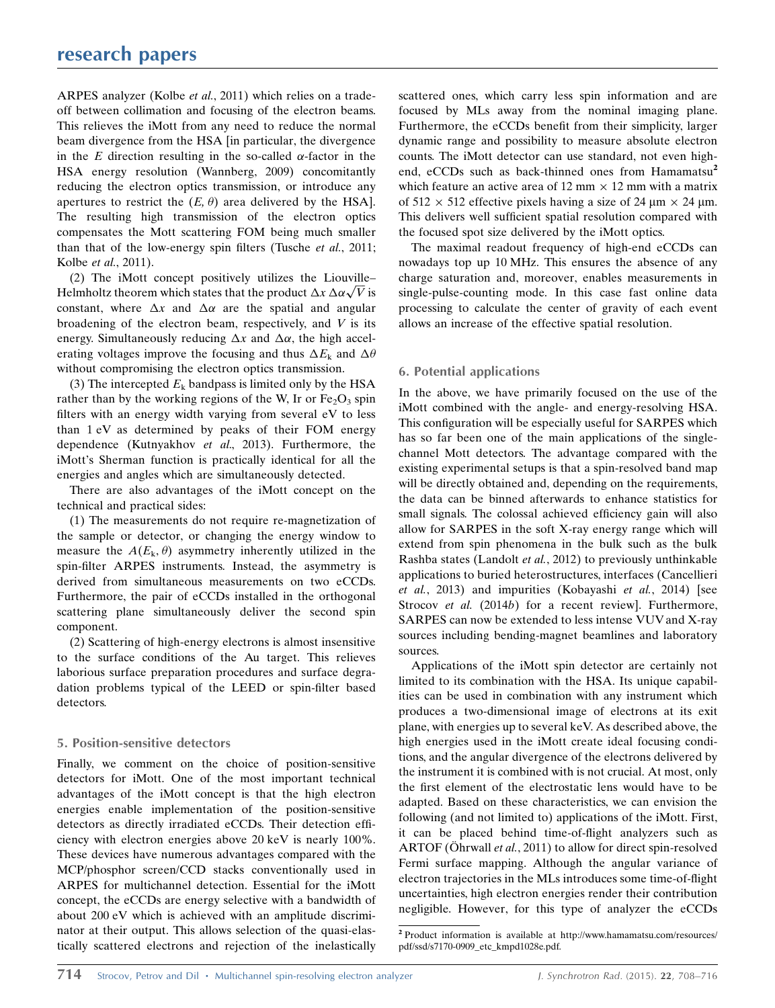ARPES analyzer (Kolbe et al., 2011) which relies on a tradeoff between collimation and focusing of the electron beams. This relieves the iMott from any need to reduce the normal beam divergence from the HSA [in particular, the divergence in the E direction resulting in the so-called  $\alpha$ -factor in the HSA energy resolution (Wannberg, 2009) concomitantly reducing the electron optics transmission, or introduce any apertures to restrict the  $(E, \theta)$  area delivered by the HSA]. The resulting high transmission of the electron optics compensates the Mott scattering FOM being much smaller than that of the low-energy spin filters (Tusche et al., 2011; Kolbe et al., 2011).

(2) The iMott concept positively utilizes the Liouville– (2) The involt concept positively utilizes the Liouville-<br>Helmholtz theorem which states that the product  $\Delta x \Delta \alpha \sqrt{V}$  is constant, where  $\Delta x$  and  $\Delta \alpha$  are the spatial and angular broadening of the electron beam, respectively, and  $V$  is its energy. Simultaneously reducing  $\Delta x$  and  $\Delta \alpha$ , the high accelerating voltages improve the focusing and thus  $\Delta E_k$  and  $\Delta \theta$ without compromising the electron optics transmission.

(3) The intercepted  $E_k$  bandpass is limited only by the HSA rather than by the working regions of the W, Ir or  $Fe<sub>2</sub>O<sub>3</sub>$  spin filters with an energy width varying from several eV to less than 1 eV as determined by peaks of their FOM energy dependence (Kutnyakhov et al., 2013). Furthermore, the iMott's Sherman function is practically identical for all the energies and angles which are simultaneously detected.

There are also advantages of the iMott concept on the technical and practical sides:

(1) The measurements do not require re-magnetization of the sample or detector, or changing the energy window to measure the  $A(E_k, \theta)$  asymmetry inherently utilized in the spin-filter ARPES instruments. Instead, the asymmetry is derived from simultaneous measurements on two eCCDs. Furthermore, the pair of eCCDs installed in the orthogonal scattering plane simultaneously deliver the second spin component.

(2) Scattering of high-energy electrons is almost insensitive to the surface conditions of the Au target. This relieves laborious surface preparation procedures and surface degradation problems typical of the LEED or spin-filter based detectors.

### 5. Position-sensitive detectors

Finally, we comment on the choice of position-sensitive detectors for iMott. One of the most important technical advantages of the iMott concept is that the high electron energies enable implementation of the position-sensitive detectors as directly irradiated eCCDs. Their detection efficiency with electron energies above 20 keV is nearly 100%. These devices have numerous advantages compared with the MCP/phosphor screen/CCD stacks conventionally used in ARPES for multichannel detection. Essential for the iMott concept, the eCCDs are energy selective with a bandwidth of about 200 eV which is achieved with an amplitude discriminator at their output. This allows selection of the quasi-elastically scattered electrons and rejection of the inelastically

scattered ones, which carry less spin information and are focused by MLs away from the nominal imaging plane. Furthermore, the eCCDs benefit from their simplicity, larger dynamic range and possibility to measure absolute electron counts. The iMott detector can use standard, not even highend, eCCDs such as back-thinned ones from Hamamatsu<sup>2</sup> which feature an active area of 12 mm  $\times$  12 mm with a matrix of  $512 \times 512$  effective pixels having a size of 24  $\mu$ m  $\times$  24  $\mu$ m. This delivers well sufficient spatial resolution compared with the focused spot size delivered by the iMott optics.

The maximal readout frequency of high-end eCCDs can nowadays top up 10 MHz. This ensures the absence of any charge saturation and, moreover, enables measurements in single-pulse-counting mode. In this case fast online data processing to calculate the center of gravity of each event allows an increase of the effective spatial resolution.

### 6. Potential applications

In the above, we have primarily focused on the use of the iMott combined with the angle- and energy-resolving HSA. This configuration will be especially useful for SARPES which has so far been one of the main applications of the singlechannel Mott detectors. The advantage compared with the existing experimental setups is that a spin-resolved band map will be directly obtained and, depending on the requirements, the data can be binned afterwards to enhance statistics for small signals. The colossal achieved efficiency gain will also allow for SARPES in the soft X-ray energy range which will extend from spin phenomena in the bulk such as the bulk Rashba states (Landolt et al., 2012) to previously unthinkable applications to buried heterostructures, interfaces (Cancellieri et al., 2013) and impurities (Kobayashi et al., 2014) [see Strocov et al. (2014b) for a recent review]. Furthermore, SARPES can now be extended to less intense VUV and X-ray sources including bending-magnet beamlines and laboratory sources.

Applications of the iMott spin detector are certainly not limited to its combination with the HSA. Its unique capabilities can be used in combination with any instrument which produces a two-dimensional image of electrons at its exit plane, with energies up to several keV. As described above, the high energies used in the iMott create ideal focusing conditions, and the angular divergence of the electrons delivered by the instrument it is combined with is not crucial. At most, only the first element of the electrostatic lens would have to be adapted. Based on these characteristics, we can envision the following (and not limited to) applications of the iMott. First, it can be placed behind time-of-flight analyzers such as ARTOF (Ohrwall et al., 2011) to allow for direct spin-resolved Fermi surface mapping. Although the angular variance of electron trajectories in the MLs introduces some time-of-flight uncertainties, high electron energies render their contribution negligible. However, for this type of analyzer the eCCDs

<sup>2</sup> Product information is available at http://www.hamamatsu.com/resources/ pdf/ssd/s7170-0909\_etc\_kmpd1028e.pdf.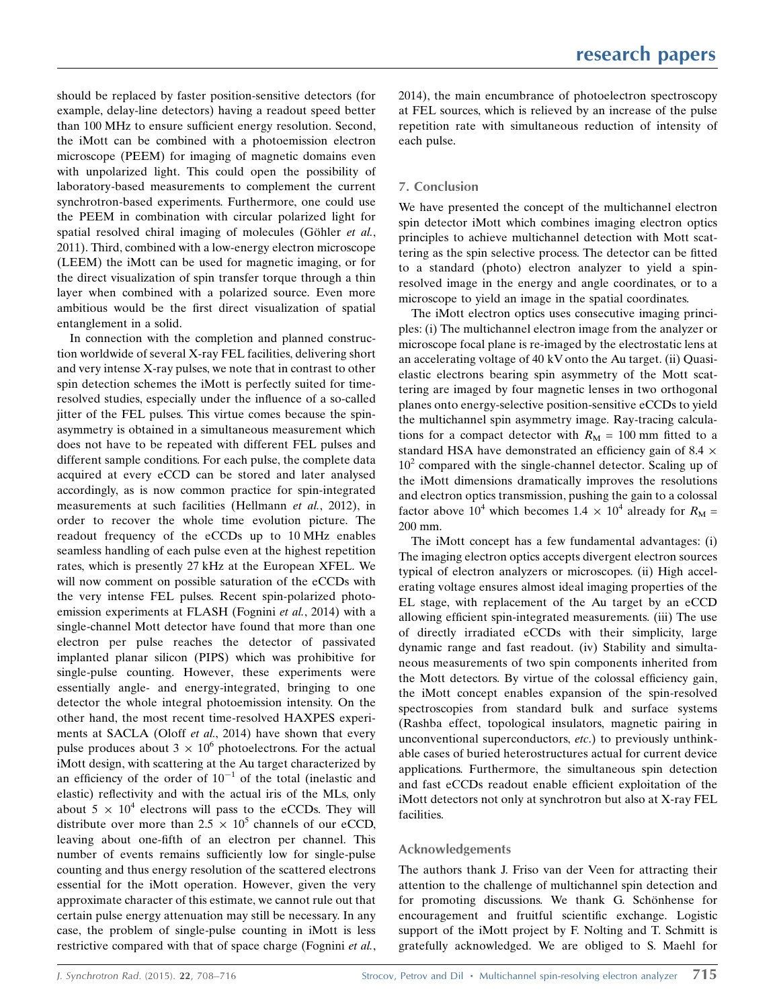should be replaced by faster position-sensitive detectors (for example, delay-line detectors) having a readout speed better than 100 MHz to ensure sufficient energy resolution. Second, the iMott can be combined with a photoemission electron microscope (PEEM) for imaging of magnetic domains even with unpolarized light. This could open the possibility of laboratory-based measurements to complement the current synchrotron-based experiments. Furthermore, one could use the PEEM in combination with circular polarized light for spatial resolved chiral imaging of molecules (Göhler et al., 2011). Third, combined with a low-energy electron microscope (LEEM) the iMott can be used for magnetic imaging, or for the direct visualization of spin transfer torque through a thin layer when combined with a polarized source. Even more ambitious would be the first direct visualization of spatial entanglement in a solid.

In connection with the completion and planned construction worldwide of several X-ray FEL facilities, delivering short and very intense X-ray pulses, we note that in contrast to other spin detection schemes the iMott is perfectly suited for timeresolved studies, especially under the influence of a so-called jitter of the FEL pulses. This virtue comes because the spinasymmetry is obtained in a simultaneous measurement which does not have to be repeated with different FEL pulses and different sample conditions. For each pulse, the complete data acquired at every eCCD can be stored and later analysed accordingly, as is now common practice for spin-integrated measurements at such facilities (Hellmann et al., 2012), in order to recover the whole time evolution picture. The readout frequency of the eCCDs up to 10 MHz enables seamless handling of each pulse even at the highest repetition rates, which is presently 27 kHz at the European XFEL. We will now comment on possible saturation of the eCCDs with the very intense FEL pulses. Recent spin-polarized photoemission experiments at FLASH (Fognini et al., 2014) with a single-channel Mott detector have found that more than one electron per pulse reaches the detector of passivated implanted planar silicon (PIPS) which was prohibitive for single-pulse counting. However, these experiments were essentially angle- and energy-integrated, bringing to one detector the whole integral photoemission intensity. On the other hand, the most recent time-resolved HAXPES experiments at SACLA (Oloff et al., 2014) have shown that every pulse produces about  $3 \times 10^6$  photoelectrons. For the actual iMott design, with scattering at the Au target characterized by an efficiency of the order of  $10^{-1}$  of the total (inelastic and elastic) reflectivity and with the actual iris of the MLs, only about  $5 \times 10^4$  electrons will pass to the eCCDs. They will distribute over more than  $2.5 \times 10^5$  channels of our eCCD, leaving about one-fifth of an electron per channel. This number of events remains sufficiently low for single-pulse counting and thus energy resolution of the scattered electrons essential for the iMott operation. However, given the very approximate character of this estimate, we cannot rule out that certain pulse energy attenuation may still be necessary. In any case, the problem of single-pulse counting in iMott is less restrictive compared with that of space charge (Fognini et al.,

2014), the main encumbrance of photoelectron spectroscopy at FEL sources, which is relieved by an increase of the pulse repetition rate with simultaneous reduction of intensity of each pulse.

### 7. Conclusion

We have presented the concept of the multichannel electron spin detector iMott which combines imaging electron optics principles to achieve multichannel detection with Mott scattering as the spin selective process. The detector can be fitted to a standard (photo) electron analyzer to yield a spinresolved image in the energy and angle coordinates, or to a microscope to yield an image in the spatial coordinates.

The iMott electron optics uses consecutive imaging principles: (i) The multichannel electron image from the analyzer or microscope focal plane is re-imaged by the electrostatic lens at an accelerating voltage of 40 kV onto the Au target. (ii) Quasielastic electrons bearing spin asymmetry of the Mott scattering are imaged by four magnetic lenses in two orthogonal planes onto energy-selective position-sensitive eCCDs to yield the multichannel spin asymmetry image. Ray-tracing calculations for a compact detector with  $R_M = 100$  mm fitted to a standard HSA have demonstrated an efficiency gain of 8.4  $\times$  $10<sup>2</sup>$  compared with the single-channel detector. Scaling up of the iMott dimensions dramatically improves the resolutions and electron optics transmission, pushing the gain to a colossal factor above 10<sup>4</sup> which becomes 1.4  $\times$  10<sup>4</sup> already for  $R_M$  = 200 mm.

The iMott concept has a few fundamental advantages: (i) The imaging electron optics accepts divergent electron sources typical of electron analyzers or microscopes. (ii) High accelerating voltage ensures almost ideal imaging properties of the EL stage, with replacement of the Au target by an eCCD allowing efficient spin-integrated measurements. (iii) The use of directly irradiated eCCDs with their simplicity, large dynamic range and fast readout. (iv) Stability and simultaneous measurements of two spin components inherited from the Mott detectors. By virtue of the colossal efficiency gain, the iMott concept enables expansion of the spin-resolved spectroscopies from standard bulk and surface systems (Rashba effect, topological insulators, magnetic pairing in unconventional superconductors, etc.) to previously unthinkable cases of buried heterostructures actual for current device applications. Furthermore, the simultaneous spin detection and fast eCCDs readout enable efficient exploitation of the iMott detectors not only at synchrotron but also at X-ray FEL facilities.

### Acknowledgements

The authors thank J. Friso van der Veen for attracting their attention to the challenge of multichannel spin detection and for promoting discussions. We thank G. Schönhense for encouragement and fruitful scientific exchange. Logistic support of the iMott project by F. Nolting and T. Schmitt is gratefully acknowledged. We are obliged to S. Maehl for